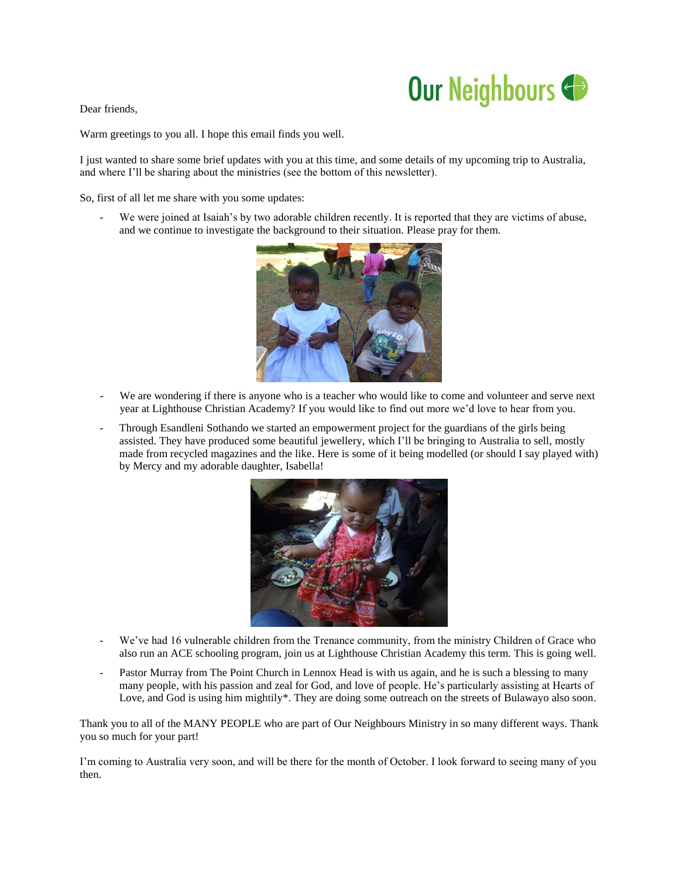## Our Neighbours

Dear friends,

Warm greetings to you all. I hope this email finds you well.

I just wanted to share some brief updates with you at this time, and some details of my upcoming trip to Australia, and where I'll be sharing about the ministries (see the bottom of this newsletter).

So, first of all let me share with you some updates:

We were joined at Isaiah's by two adorable children recently. It is reported that they are victims of abuse, and we continue to investigate the background to their situation. Please pray for them.



- We are wondering if there is anyone who is a teacher who would like to come and volunteer and serve next year at Lighthouse Christian Academy? If you would like to find out more we'd love to hear from you.
- Through Esandleni Sothando we started an empowerment project for the guardians of the girls being assisted. They have produced some beautiful jewellery, which I'll be bringing to Australia to sell, mostly made from recycled magazines and the like. Here is some of it being modelled (or should I say played with) by Mercy and my adorable daughter, Isabella!



- We've had 16 vulnerable children from the Trenance community, from the ministry Children of Grace who also run an ACE schooling program, join us at Lighthouse Christian Academy this term. This is going well.
- Pastor Murray from The Point Church in Lennox Head is with us again, and he is such a blessing to many many people, with his passion and zeal for God, and love of people. He's particularly assisting at Hearts of Love, and God is using him mightily\*. They are doing some outreach on the streets of Bulawayo also soon.

Thank you to all of the MANY PEOPLE who are part of Our Neighbours Ministry in so many different ways. Thank you so much for your part!

I'm coming to Australia very soon, and will be there for the month of October. I look forward to seeing many of you then.